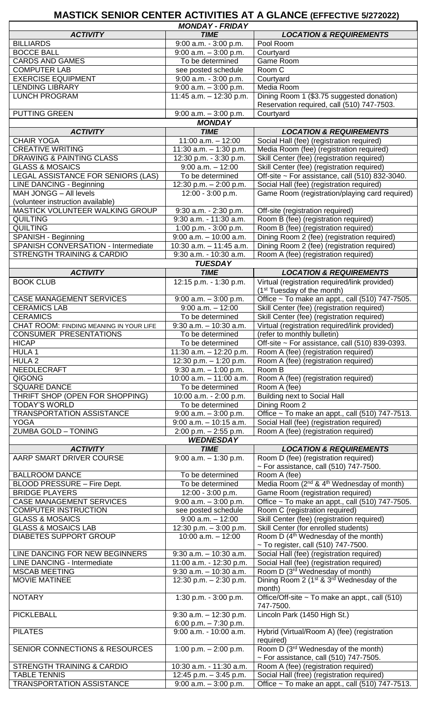## **MASTICK SENIOR CENTER ACTIVITIES AT A GLANCE (EFFECTIVE 5/272022)**

 $\mathbf{r}$ 

 $\mathbf{r}$ 

|                                           | <b>MONDAY - FRIDAY</b>     |                                                                   |
|-------------------------------------------|----------------------------|-------------------------------------------------------------------|
| <b>ACTIVITY</b>                           | <b>TIME</b>                | <b>LOCATION &amp; REQUIREMENTS</b>                                |
| <b>BILLIARDS</b>                          | $9:00$ a.m. - $3:00$ p.m.  | Pool Room                                                         |
| <b>BOCCE BALL</b>                         | $9:00$ a.m. $-3:00$ p.m.   | Courtyard                                                         |
| <b>CARDS AND GAMES</b>                    | To be determined           | Game Room                                                         |
| <b>COMPUTER LAB</b>                       | see posted schedule        | Room C                                                            |
| <b>EXERCISE EQUIPMENT</b>                 | 9:00 a.m. - 3:00 p.m.      | Courtyard                                                         |
| <b>LENDING LIBRARY</b>                    | $9:00$ a.m. $-3:00$ p.m.   | Media Room                                                        |
| <b>LUNCH PROGRAM</b>                      | 11:45 a.m. $-$ 12:30 p.m.  | Dining Room 1 (\$3.75 suggested donation)                         |
|                                           |                            | Reservation required, call (510) 747-7503.                        |
| <b>PUTTING GREEN</b>                      | $9:00$ a.m. $-3:00$ p.m.   | Courtyard                                                         |
|                                           | <b>MONDAY</b>              |                                                                   |
| <b>ACTIVITY</b>                           | <b>TIME</b>                | <b>LOCATION &amp; REQUIREMENTS</b>                                |
| <b>CHAIR YOGA</b>                         | $11:00$ a.m. $-12:00$      | Social Hall (fee) (registration required)                         |
| <b>CREATIVE WRITING</b>                   | 11:30 $a.m. - 1:30$ p.m.   | Media Room (fee) (registration required)                          |
|                                           |                            |                                                                   |
| <b>DRAWING &amp; PAINTING CLASS</b>       | 12:30 p.m. - 3:30 p.m.     | Skill Center (fee) (registration required)                        |
| <b>GLASS &amp; MOSAICS</b>                | $9:00$ a.m. $-12:00$       | Skill Center (fee) (registration required)                        |
| LEGAL ASSISTANCE FOR SENIORS (LAS)        | To be determined           | Off-site ~ For assistance, call (510) 832-3040.                   |
| <b>LINE DANCING - Beginning</b>           | 12:30 p.m. - 2:00 p.m.     | Social Hall (fee) (registration required)                         |
| MAH JONGG - All levels                    | 12:00 - 3:00 p.m.          | Game Room (registration/playing card required)                    |
| (volunteer instruction available)         |                            |                                                                   |
| MASTICK VOLUNTEER WALKING GROUP           | 9:30 a.m. - 2:30 p.m.      | Off-site (registration required)                                  |
| <b>QUILTING</b>                           | 9:30 a.m. - 11:30 a.m.     | Room B (fee) (registration required)                              |
| <b>QUILTING</b>                           | 1:00 p.m. - 3:00 p.m.      | Room B (fee) (registration required)                              |
| SPANISH - Beginning                       | $9:00$ a.m. $-10:00$ a.m.  | Dining Room 2 (fee) (registration required)                       |
| SPANISH CONVERSATION - Intermediate       | $10:30$ a.m. $-11:45$ a.m. | Dining Room 2 (fee) (registration required)                       |
| STRENGTH TRAINING & CARDIO                | 9:30 a.m. - 10:30 a.m.     | Room A (fee) (registration required)                              |
|                                           | <b>TUESDAY</b>             |                                                                   |
| <b>ACTIVITY</b>                           | <b>TIME</b>                | <b>LOCATION &amp; REQUIREMENTS</b>                                |
| <b>BOOK CLUB</b>                          | 12:15 p.m. - 1:30 p.m.     | Virtual (registration required/link provided)                     |
|                                           |                            |                                                                   |
|                                           |                            | (1 <sup>st</sup> Tuesday of the month)                            |
| <b>CASE MANAGEMENT SERVICES</b>           | $9:00$ a.m. $-3:00$ p.m.   | Office ~ To make an appt., call (510) 747-7505.                   |
| <b>CERAMICS LAB</b>                       | $9:00$ a.m. $-12:00$       | Skill Center (fee) (registration required)                        |
| <b>CERAMICS</b>                           | To be determined           | Skill Center (fee) (registration required)                        |
| CHAT ROOM: FINDING MEANING IN YOUR LIFE   | $9:30$ a.m. $-10:30$ a.m.  | Virtual (registration required/link provided)                     |
| <b>CONSUMER PRESENTATIONS</b>             | To be determined           | (refer to monthly bulletin)                                       |
| <b>HICAP</b>                              | To be determined           | Off-site ~ For assistance, call (510) 839-0393.                   |
| <b>HULA1</b>                              | 11:30 a.m. $-$ 12:20 p.m.  | Room A (fee) (registration required)                              |
| $HULA$ 2                                  | 12:30 p.m. $-$ 1:20 p.m.   | Room A (fee) (registration required)                              |
| NEEDLECRAFT                               | $9:30$ a.m. $-1:00$ p.m.   | Room B                                                            |
| QIGONG                                    | 10:00 $a.m. - 11:00 a.m.$  | Room A (fee) (registration required)                              |
| <b>SQUARE DANCE</b>                       | To be determined           | Room A (fee)                                                      |
| THRIFT SHOP (OPEN FOR SHOPPING)           | 10:00 a.m. - 2:00 p.m.     | <b>Building next to Social Hall</b>                               |
| <b>TODAY'S WORLD</b>                      | To be determined           | Dining Room 2                                                     |
| <b>TRANSPORTATION ASSISTANCE</b>          | $9:00$ a.m. $-3:00$ p.m.   | Office ~ To make an appt., call (510) 747-7513.                   |
| <b>YOGA</b>                               | $9:00$ a.m. $-10:15$ a.m.  | Social Hall (fee) (registration required)                         |
| <b>ZUMBA GOLD - TONING</b>                | $2:00$ p.m. $-2:55$ p.m.   | Room A (fee) (registration required)                              |
|                                           | <b>WEDNESDAY</b>           |                                                                   |
| <b>ACTIVITY</b>                           | <b>TIME</b>                | <b>LOCATION &amp; REQUIREMENTS</b>                                |
| AARP SMART DRIVER COURSE                  | $9:00$ a.m. $-1:30$ p.m.   | Room D (fee) (registration required)                              |
|                                           |                            | $\sim$ For assistance, call (510) 747-7500.                       |
| <b>BALLROOM DANCE</b>                     | To be determined           | Room A (fee)                                                      |
|                                           | To be determined           | Media Room (2 <sup>nd</sup> & 4 <sup>th</sup> Wednesday of month) |
| BLOOD PRESSURE - Fire Dept.               |                            |                                                                   |
| <b>BRIDGE PLAYERS</b>                     | 12:00 - 3:00 p.m.          | Game Room (registration required)                                 |
| <b>CASE MANAGEMENT SERVICES</b>           | $9:00$ a.m. $-3:00$ p.m.   | Office ~ To make an appt., call (510) 747-7505.                   |
| <b>COMPUTER INSTRUCTION</b>               | see posted schedule        | Room C (registration required)                                    |
| <b>GLASS &amp; MOSAICS</b>                | $9:00$ a.m. $-12:00$       | Skill Center (fee) (registration required)                        |
| <b>GLASS &amp; MOSAICS LAB</b>            | 12:30 p.m. - 3:00 p.m.     | Skill Center (for enrolled students)                              |
| <b>DIABETES SUPPORT GROUP</b>             | $10:00$ a.m. $-12:00$      | Room D (4 <sup>th</sup> Wednesday of the month)                   |
|                                           |                            | ~ To register, call (510) 747-7500.                               |
| LINE DANCING FOR NEW BEGINNERS            | $9:30$ a.m. $-10:30$ a.m.  | Social Hall (fee) (registration required)                         |
| <b>LINE DANCING - Intermediate</b>        | 11:00 a.m. - 12:30 p.m.    | Social Hall (fee) (registration required)                         |
| <b>MSCAB MEETING</b>                      | $9:30$ a.m. $-10:30$ a.m.  | Room D (3 <sup>rd</sup> Wednesday of month)                       |
| <b>MOVIE MATINEE</b>                      | 12:30 p.m. $- 2:30$ p.m.   | Dining Room 2 (1 <sup>st</sup> & 3 <sup>rd</sup> Wednesday of the |
|                                           |                            | month)                                                            |
| <b>NOTARY</b>                             | 1:30 p.m. - 3:00 p.m.      | Office/Off-site ~ To make an appt., call (510)                    |
|                                           |                            | 747-7500.                                                         |
| <b>PICKLEBALL</b>                         | $9:30$ a.m. $-12:30$ p.m.  | Lincoln Park (1450 High St.)                                      |
|                                           | 6:00 p.m. $-7:30$ p.m.     |                                                                   |
| <b>PILATES</b>                            | 9:00 a.m. - 10:00 a.m.     | Hybrid (Virtual/Room A) (fee) (registration                       |
|                                           |                            | required)                                                         |
| <b>SENIOR CONNECTIONS &amp; RESOURCES</b> | 1:00 p.m. $- 2:00$ p.m.    | Room D (3rd Wednesday of the month)                               |
|                                           |                            | $\sim$ For assistance, call (510) 747-7505.                       |
| <b>STRENGTH TRAINING &amp; CARDIO</b>     | 10:30 a.m. - 11:30 a.m.    | Room A (fee) (registration required)                              |
| <b>TABLE TENNIS</b>                       | 12:45 p.m. $-3:45$ p.m.    | Social Hall (free) (registration required)                        |
| <b>TRANSPORTATION ASSISTANCE</b>          | $9:00$ a.m. $-3:00$ p.m.   | Office ~ To make an appt., call (510) 747-7513.                   |
|                                           |                            |                                                                   |